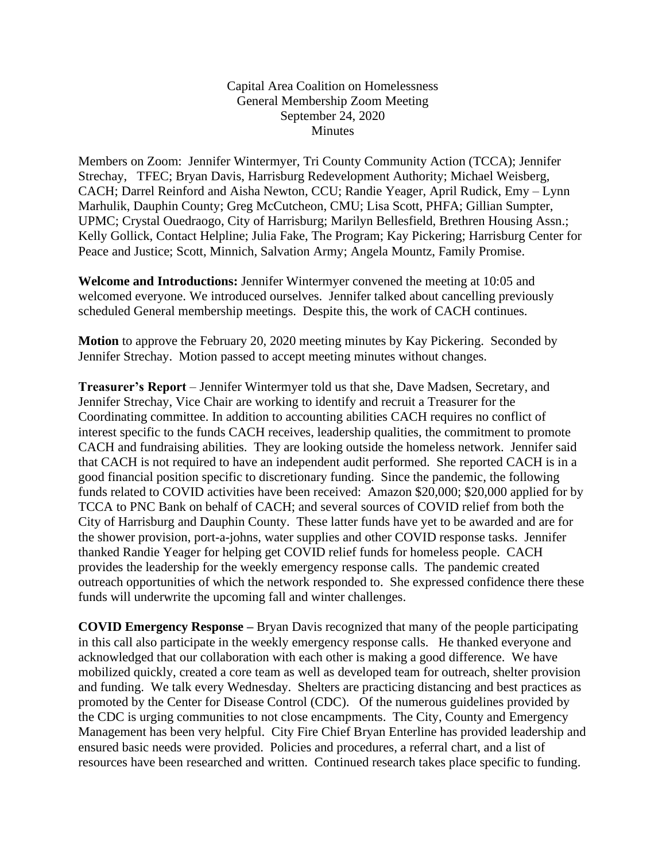Capital Area Coalition on Homelessness General Membership Zoom Meeting September 24, 2020 Minutes

Members on Zoom: Jennifer Wintermyer, Tri County Community Action (TCCA); Jennifer Strechay, TFEC; Bryan Davis, Harrisburg Redevelopment Authority; Michael Weisberg, CACH; Darrel Reinford and Aisha Newton, CCU; Randie Yeager, April Rudick, Emy – Lynn Marhulik, Dauphin County; Greg McCutcheon, CMU; Lisa Scott, PHFA; Gillian Sumpter, UPMC; Crystal Ouedraogo, City of Harrisburg; Marilyn Bellesfield, Brethren Housing Assn.; Kelly Gollick, Contact Helpline; Julia Fake, The Program; Kay Pickering; Harrisburg Center for Peace and Justice; Scott, Minnich, Salvation Army; Angela Mountz, Family Promise.

**Welcome and Introductions:** Jennifer Wintermyer convened the meeting at 10:05 and welcomed everyone. We introduced ourselves. Jennifer talked about cancelling previously scheduled General membership meetings. Despite this, the work of CACH continues.

**Motion** to approve the February 20, 2020 meeting minutes by Kay Pickering. Seconded by Jennifer Strechay. Motion passed to accept meeting minutes without changes.

**Treasurer's Report** – Jennifer Wintermyer told us that she, Dave Madsen, Secretary, and Jennifer Strechay, Vice Chair are working to identify and recruit a Treasurer for the Coordinating committee. In addition to accounting abilities CACH requires no conflict of interest specific to the funds CACH receives, leadership qualities, the commitment to promote CACH and fundraising abilities. They are looking outside the homeless network. Jennifer said that CACH is not required to have an independent audit performed. She reported CACH is in a good financial position specific to discretionary funding. Since the pandemic, the following funds related to COVID activities have been received: Amazon \$20,000; \$20,000 applied for by TCCA to PNC Bank on behalf of CACH; and several sources of COVID relief from both the City of Harrisburg and Dauphin County. These latter funds have yet to be awarded and are for the shower provision, port-a-johns, water supplies and other COVID response tasks. Jennifer thanked Randie Yeager for helping get COVID relief funds for homeless people. CACH provides the leadership for the weekly emergency response calls. The pandemic created outreach opportunities of which the network responded to. She expressed confidence there these funds will underwrite the upcoming fall and winter challenges.

**COVID Emergency Response –** Bryan Davis recognized that many of the people participating in this call also participate in the weekly emergency response calls. He thanked everyone and acknowledged that our collaboration with each other is making a good difference. We have mobilized quickly, created a core team as well as developed team for outreach, shelter provision and funding. We talk every Wednesday. Shelters are practicing distancing and best practices as promoted by the Center for Disease Control (CDC). Of the numerous guidelines provided by the CDC is urging communities to not close encampments. The City, County and Emergency Management has been very helpful. City Fire Chief Bryan Enterline has provided leadership and ensured basic needs were provided. Policies and procedures, a referral chart, and a list of resources have been researched and written. Continued research takes place specific to funding.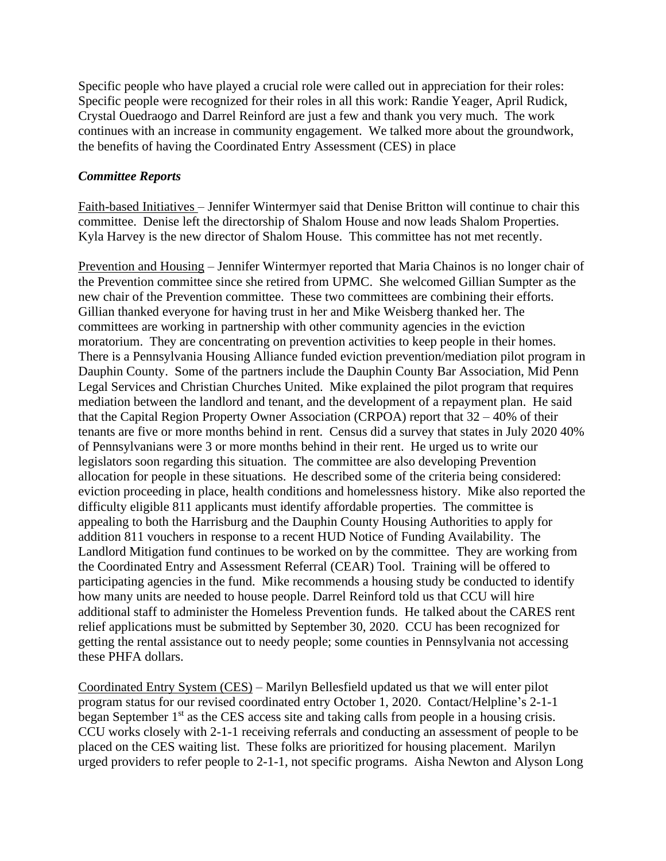Specific people who have played a crucial role were called out in appreciation for their roles: Specific people were recognized for their roles in all this work: Randie Yeager, April Rudick, Crystal Ouedraogo and Darrel Reinford are just a few and thank you very much. The work continues with an increase in community engagement. We talked more about the groundwork, the benefits of having the Coordinated Entry Assessment (CES) in place

## *Committee Reports*

Faith-based Initiatives – Jennifer Wintermyer said that Denise Britton will continue to chair this committee. Denise left the directorship of Shalom House and now leads Shalom Properties. Kyla Harvey is the new director of Shalom House. This committee has not met recently.

Prevention and Housing – Jennifer Wintermyer reported that Maria Chainos is no longer chair of the Prevention committee since she retired from UPMC. She welcomed Gillian Sumpter as the new chair of the Prevention committee. These two committees are combining their efforts. Gillian thanked everyone for having trust in her and Mike Weisberg thanked her. The committees are working in partnership with other community agencies in the eviction moratorium. They are concentrating on prevention activities to keep people in their homes. There is a Pennsylvania Housing Alliance funded eviction prevention/mediation pilot program in Dauphin County. Some of the partners include the Dauphin County Bar Association, Mid Penn Legal Services and Christian Churches United. Mike explained the pilot program that requires mediation between the landlord and tenant, and the development of a repayment plan. He said that the Capital Region Property Owner Association (CRPOA) report that 32 – 40% of their tenants are five or more months behind in rent. Census did a survey that states in July 2020 40% of Pennsylvanians were 3 or more months behind in their rent. He urged us to write our legislators soon regarding this situation. The committee are also developing Prevention allocation for people in these situations. He described some of the criteria being considered: eviction proceeding in place, health conditions and homelessness history. Mike also reported the difficulty eligible 811 applicants must identify affordable properties. The committee is appealing to both the Harrisburg and the Dauphin County Housing Authorities to apply for addition 811 vouchers in response to a recent HUD Notice of Funding Availability. The Landlord Mitigation fund continues to be worked on by the committee. They are working from the Coordinated Entry and Assessment Referral (CEAR) Tool. Training will be offered to participating agencies in the fund. Mike recommends a housing study be conducted to identify how many units are needed to house people. Darrel Reinford told us that CCU will hire additional staff to administer the Homeless Prevention funds. He talked about the CARES rent relief applications must be submitted by September 30, 2020. CCU has been recognized for getting the rental assistance out to needy people; some counties in Pennsylvania not accessing these PHFA dollars.

Coordinated Entry System (CES) – Marilyn Bellesfield updated us that we will enter pilot program status for our revised coordinated entry October 1, 2020. Contact/Helpline's 2-1-1 began September 1<sup>st</sup> as the CES access site and taking calls from people in a housing crisis. CCU works closely with 2-1-1 receiving referrals and conducting an assessment of people to be placed on the CES waiting list. These folks are prioritized for housing placement. Marilyn urged providers to refer people to 2-1-1, not specific programs. Aisha Newton and Alyson Long